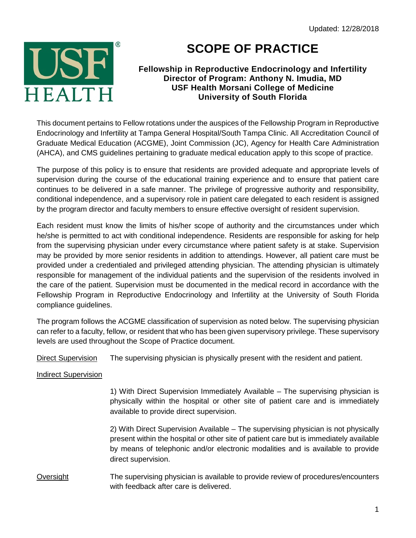

## **SCOPE OF PRACTICE**

## **Fellowship in Reproductive Endocrinology and Infertility Director of Program: Anthony N. Imudia, MD USF Health Morsani College of Medicine University of South Florida**

This document pertains to Fellow rotations under the auspices of the Fellowship Program in Reproductive Endocrinology and Infertility at Tampa General Hospital/South Tampa Clinic. All Accreditation Council of Graduate Medical Education (ACGME), Joint Commission (JC), Agency for Health Care Administration (AHCA), and CMS guidelines pertaining to graduate medical education apply to this scope of practice.

The purpose of this policy is to ensure that residents are provided adequate and appropriate levels of supervision during the course of the educational training experience and to ensure that patient care continues to be delivered in a safe manner. The privilege of progressive authority and responsibility, conditional independence, and a supervisory role in patient care delegated to each resident is assigned by the program director and faculty members to ensure effective oversight of resident supervision.

Each resident must know the limits of his/her scope of authority and the circumstances under which he/she is permitted to act with conditional independence. Residents are responsible for asking for help from the supervising physician under every circumstance where patient safety is at stake. Supervision may be provided by more senior residents in addition to attendings. However, all patient care must be provided under a credentialed and privileged attending physician. The attending physician is ultimately responsible for management of the individual patients and the supervision of the residents involved in the care of the patient. Supervision must be documented in the medical record in accordance with the Fellowship Program in Reproductive Endocrinology and Infertility at the University of South Florida compliance guidelines.

The program follows the ACGME classification of supervision as noted below. The supervising physician can refer to a faculty, fellow, or resident that who has been given supervisory privilege. These supervisory levels are used throughout the Scope of Practice document.

Direct Supervision The supervising physician is physically present with the resident and patient.

## Indirect Supervision

1) With Direct Supervision Immediately Available – The supervising physician is physically within the hospital or other site of patient care and is immediately available to provide direct supervision.

2) With Direct Supervision Available – The supervising physician is not physically present within the hospital or other site of patient care but is immediately available by means of telephonic and/or electronic modalities and is available to provide direct supervision.

## Oversight The supervising physician is available to provide review of procedures/encounters with feedback after care is delivered.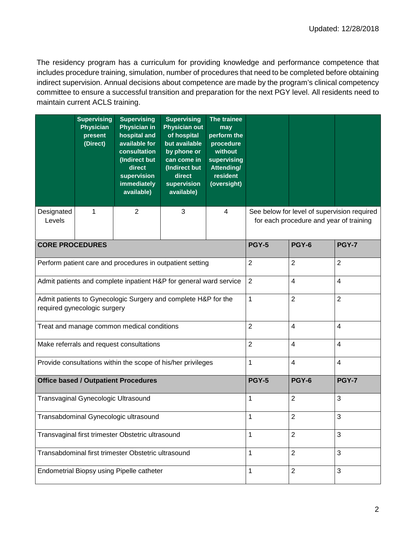The residency program has a curriculum for providing knowledge and performance competence that includes procedure training, simulation, number of procedures that need to be completed before obtaining indirect supervision. Annual decisions about competence are made by the program's clinical competency committee to ensure a successful transition and preparation for the next PGY level. All residents need to maintain current ACLS training.

|                                                                                                | <b>Supervising</b><br><b>Physician</b><br>present<br>(Direct) | <b>Supervising</b><br><b>Physician in</b><br>hospital and<br>available for<br>consultation<br>(Indirect but<br>direct<br>supervision<br>immediately<br>available) | <b>Supervising</b><br><b>Physician out</b><br>of hospital<br>but available<br>by phone or<br>can come in<br>(Indirect but<br>direct<br>supervision<br>available) | The trainee<br>may<br>perform the<br>procedure<br>without<br>supervising<br>Attending/<br>resident<br>(oversight) |                                                                                        |                          |                          |  |
|------------------------------------------------------------------------------------------------|---------------------------------------------------------------|-------------------------------------------------------------------------------------------------------------------------------------------------------------------|------------------------------------------------------------------------------------------------------------------------------------------------------------------|-------------------------------------------------------------------------------------------------------------------|----------------------------------------------------------------------------------------|--------------------------|--------------------------|--|
| Designated<br>Levels                                                                           | 1                                                             | $\overline{2}$                                                                                                                                                    | 3                                                                                                                                                                | 4                                                                                                                 | See below for level of supervision required<br>for each procedure and year of training |                          |                          |  |
| <b>CORE PROCEDURES</b>                                                                         |                                                               |                                                                                                                                                                   |                                                                                                                                                                  |                                                                                                                   | <b>PGY-5</b>                                                                           | <b>PGY-6</b>             | <b>PGY-7</b>             |  |
| Perform patient care and procedures in outpatient setting                                      |                                                               |                                                                                                                                                                   |                                                                                                                                                                  | $\overline{2}$                                                                                                    | $\overline{2}$                                                                         | $\overline{2}$           |                          |  |
| Admit patients and complete inpatient H&P for general ward service                             |                                                               |                                                                                                                                                                   |                                                                                                                                                                  |                                                                                                                   | $\overline{2}$                                                                         | $\overline{\mathcal{A}}$ | $\overline{4}$           |  |
| Admit patients to Gynecologic Surgery and complete H&P for the<br>required gynecologic surgery |                                                               |                                                                                                                                                                   |                                                                                                                                                                  |                                                                                                                   | 1                                                                                      | $\overline{2}$           | $\overline{2}$           |  |
| Treat and manage common medical conditions                                                     |                                                               |                                                                                                                                                                   |                                                                                                                                                                  |                                                                                                                   | $\overline{2}$                                                                         | $\overline{4}$           | $\overline{4}$           |  |
| Make referrals and request consultations                                                       |                                                               |                                                                                                                                                                   |                                                                                                                                                                  |                                                                                                                   | $\overline{2}$                                                                         | $\overline{\mathcal{A}}$ | $\overline{\mathcal{A}}$ |  |
| Provide consultations within the scope of his/her privileges                                   |                                                               |                                                                                                                                                                   |                                                                                                                                                                  |                                                                                                                   | 1                                                                                      | 4                        | $\overline{4}$           |  |
|                                                                                                |                                                               | <b>Office based / Outpatient Procedures</b>                                                                                                                       |                                                                                                                                                                  | <b>PGY-5</b><br><b>PGY-6</b><br><b>PGY-7</b>                                                                      |                                                                                        |                          |                          |  |
| Transvaginal Gynecologic Ultrasound                                                            |                                                               |                                                                                                                                                                   |                                                                                                                                                                  | 1                                                                                                                 | $\sqrt{2}$                                                                             | 3                        |                          |  |
| Transabdominal Gynecologic ultrasound                                                          |                                                               |                                                                                                                                                                   |                                                                                                                                                                  |                                                                                                                   | 1                                                                                      | $\boldsymbol{2}$         | 3                        |  |
| Transvaginal first trimester Obstetric ultrasound                                              |                                                               |                                                                                                                                                                   |                                                                                                                                                                  |                                                                                                                   | 1                                                                                      | $\overline{2}$           | 3                        |  |
| Transabdominal first trimester Obstetric ultrasound                                            |                                                               |                                                                                                                                                                   |                                                                                                                                                                  |                                                                                                                   | $\mathbf{1}$                                                                           | $\overline{2}$           | 3                        |  |
| Endometrial Biopsy using Pipelle catheter                                                      |                                                               |                                                                                                                                                                   |                                                                                                                                                                  |                                                                                                                   | 1                                                                                      | $\overline{2}$           | 3                        |  |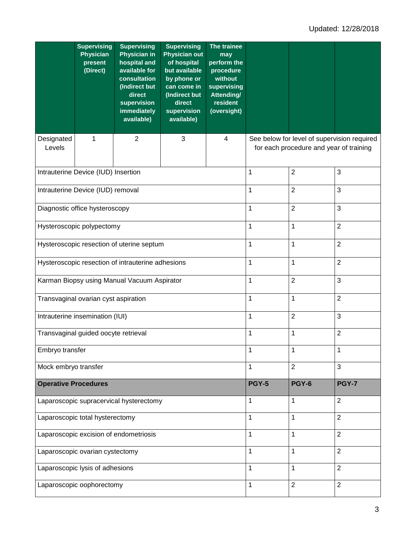|                                                   | <b>Supervising</b><br><b>Physician</b><br>present<br>(Direct) | <b>Supervising</b><br><b>Physician in</b><br>hospital and<br>available for<br>consultation<br>(Indirect but<br>direct<br>supervision<br>immediately<br>available) | <b>Supervising</b><br><b>Physician out</b><br>of hospital<br>but available<br>by phone or<br>can come in<br>(Indirect but<br>direct<br>supervision<br>available) | The trainee<br>may<br>perform the<br>procedure<br>without<br>supervising<br><b>Attending/</b><br>resident<br>(oversight) |                                                                                        |                |                |  |
|---------------------------------------------------|---------------------------------------------------------------|-------------------------------------------------------------------------------------------------------------------------------------------------------------------|------------------------------------------------------------------------------------------------------------------------------------------------------------------|--------------------------------------------------------------------------------------------------------------------------|----------------------------------------------------------------------------------------|----------------|----------------|--|
| Designated<br>Levels                              | 1                                                             | $\overline{2}$                                                                                                                                                    | 3                                                                                                                                                                | $\overline{4}$                                                                                                           | See below for level of supervision required<br>for each procedure and year of training |                |                |  |
| Intrauterine Device (IUD) Insertion               |                                                               |                                                                                                                                                                   |                                                                                                                                                                  |                                                                                                                          | 1                                                                                      | $\overline{2}$ | 3              |  |
|                                                   | Intrauterine Device (IUD) removal                             |                                                                                                                                                                   |                                                                                                                                                                  |                                                                                                                          | 1                                                                                      | $\overline{c}$ | $\mathfrak{S}$ |  |
| Diagnostic office hysteroscopy                    |                                                               |                                                                                                                                                                   |                                                                                                                                                                  |                                                                                                                          | 1                                                                                      | $\overline{2}$ | 3              |  |
| Hysteroscopic polypectomy                         |                                                               |                                                                                                                                                                   |                                                                                                                                                                  |                                                                                                                          | 1                                                                                      | 1              | $\overline{2}$ |  |
| Hysteroscopic resection of uterine septum         |                                                               |                                                                                                                                                                   |                                                                                                                                                                  |                                                                                                                          | 1                                                                                      | $\mathbf{1}$   | $\overline{2}$ |  |
| Hysteroscopic resection of intrauterine adhesions |                                                               |                                                                                                                                                                   |                                                                                                                                                                  |                                                                                                                          | 1                                                                                      | 1              | $\overline{2}$ |  |
| Karman Biopsy using Manual Vacuum Aspirator       |                                                               |                                                                                                                                                                   |                                                                                                                                                                  |                                                                                                                          | 1                                                                                      | $\overline{2}$ | $\mathfrak{S}$ |  |
| Transvaginal ovarian cyst aspiration              |                                                               |                                                                                                                                                                   |                                                                                                                                                                  |                                                                                                                          | 1                                                                                      | 1              | $\overline{2}$ |  |
| Intrauterine insemination (IUI)                   |                                                               |                                                                                                                                                                   |                                                                                                                                                                  |                                                                                                                          | 1                                                                                      | $\overline{2}$ | 3              |  |
| Transvaginal guided oocyte retrieval              |                                                               |                                                                                                                                                                   |                                                                                                                                                                  |                                                                                                                          | 1                                                                                      | $\mathbf 1$    | $\overline{2}$ |  |
| Embryo transfer                                   |                                                               |                                                                                                                                                                   |                                                                                                                                                                  |                                                                                                                          | 1                                                                                      | 1              | 1              |  |
| Mock embryo transfer                              |                                                               |                                                                                                                                                                   |                                                                                                                                                                  | 1                                                                                                                        | $\overline{2}$                                                                         | $\mathbf{3}$   |                |  |
| <b>Operative Procedures</b>                       |                                                               |                                                                                                                                                                   |                                                                                                                                                                  |                                                                                                                          | <b>PGY-5</b>                                                                           | <b>PGY-6</b>   | <b>PGY-7</b>   |  |
| Laparoscopic supracervical hysterectomy           |                                                               |                                                                                                                                                                   |                                                                                                                                                                  | 1                                                                                                                        | 1                                                                                      | $\overline{2}$ |                |  |
| Laparoscopic total hysterectomy                   |                                                               |                                                                                                                                                                   |                                                                                                                                                                  |                                                                                                                          | 1                                                                                      | 1              | $\overline{2}$ |  |
| Laparoscopic excision of endometriosis            |                                                               |                                                                                                                                                                   |                                                                                                                                                                  |                                                                                                                          | 1                                                                                      | 1              | $\overline{2}$ |  |
| Laparoscopic ovarian cystectomy                   |                                                               |                                                                                                                                                                   |                                                                                                                                                                  |                                                                                                                          | $\mathbf{1}$                                                                           | 1              | $\overline{2}$ |  |
| Laparoscopic lysis of adhesions                   |                                                               |                                                                                                                                                                   |                                                                                                                                                                  |                                                                                                                          | 1                                                                                      | 1              | $\overline{2}$ |  |
| Laparoscopic oophorectomy                         |                                                               |                                                                                                                                                                   |                                                                                                                                                                  |                                                                                                                          | $\mathbf{1}$                                                                           | $\overline{2}$ | $\overline{2}$ |  |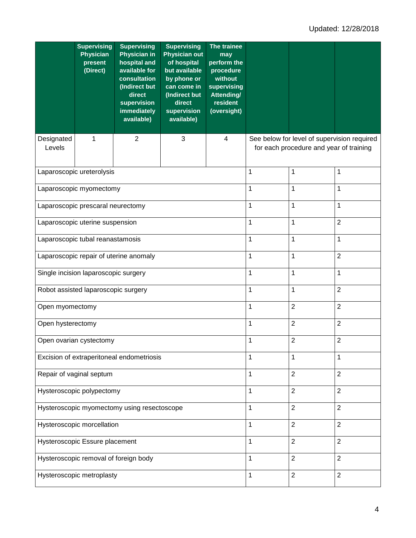|                                             | <b>Supervising</b><br><b>Physician</b><br>present<br>(Direct) | <b>Supervising</b><br><b>Physician in</b><br>hospital and<br>available for<br>consultation<br>(Indirect but<br>direct<br>supervision<br>immediately<br>available) | <b>Supervising</b><br><b>Physician out</b><br>of hospital<br>but available<br>by phone or<br>can come in<br>(Indirect but<br>direct<br>supervision<br>available) | The trainee<br>may<br>perform the<br>procedure<br>without<br>supervising<br><b>Attending/</b><br>resident<br>(oversight) |                                                                                        |                |                  |  |
|---------------------------------------------|---------------------------------------------------------------|-------------------------------------------------------------------------------------------------------------------------------------------------------------------|------------------------------------------------------------------------------------------------------------------------------------------------------------------|--------------------------------------------------------------------------------------------------------------------------|----------------------------------------------------------------------------------------|----------------|------------------|--|
| Designated<br>Levels                        | 1                                                             | $\overline{2}$                                                                                                                                                    | 3                                                                                                                                                                | 4                                                                                                                        | See below for level of supervision required<br>for each procedure and year of training |                |                  |  |
|                                             | Laparoscopic ureterolysis                                     |                                                                                                                                                                   |                                                                                                                                                                  |                                                                                                                          | 1                                                                                      | 1              | 1                |  |
| Laparoscopic myomectomy                     |                                                               |                                                                                                                                                                   |                                                                                                                                                                  |                                                                                                                          | 1                                                                                      | 1              | 1                |  |
| Laparoscopic prescaral neurectomy           |                                                               |                                                                                                                                                                   |                                                                                                                                                                  |                                                                                                                          | 1                                                                                      | 1              | 1                |  |
| Laparoscopic uterine suspension             |                                                               |                                                                                                                                                                   |                                                                                                                                                                  |                                                                                                                          | 1                                                                                      | 1              | $\boldsymbol{2}$ |  |
| Laparoscopic tubal reanastamosis            |                                                               |                                                                                                                                                                   |                                                                                                                                                                  |                                                                                                                          | 1                                                                                      | $\mathbf{1}$   | $\mathbf{1}$     |  |
| Laparoscopic repair of uterine anomaly      |                                                               |                                                                                                                                                                   |                                                                                                                                                                  |                                                                                                                          | 1                                                                                      | $\mathbf{1}$   | $\overline{2}$   |  |
| Single incision laparoscopic surgery        |                                                               |                                                                                                                                                                   |                                                                                                                                                                  |                                                                                                                          | 1                                                                                      | $\mathbf 1$    | 1                |  |
| Robot assisted laparoscopic surgery         |                                                               |                                                                                                                                                                   |                                                                                                                                                                  |                                                                                                                          | 1                                                                                      | $\mathbf{1}$   | $\overline{2}$   |  |
| Open myomectomy                             |                                                               |                                                                                                                                                                   |                                                                                                                                                                  |                                                                                                                          | 1                                                                                      | $\overline{2}$ | $\overline{2}$   |  |
| Open hysterectomy                           |                                                               |                                                                                                                                                                   |                                                                                                                                                                  |                                                                                                                          | 1                                                                                      | $\overline{2}$ | $\overline{2}$   |  |
| Open ovarian cystectomy                     |                                                               |                                                                                                                                                                   |                                                                                                                                                                  |                                                                                                                          | 1                                                                                      | $\overline{2}$ | $\overline{2}$   |  |
| Excision of extraperitoneal endometriosis   |                                                               |                                                                                                                                                                   |                                                                                                                                                                  |                                                                                                                          | 1                                                                                      | $\mathbf{1}$   | $\mathbf{1}$     |  |
| Repair of vaginal septum                    |                                                               |                                                                                                                                                                   |                                                                                                                                                                  |                                                                                                                          | 1                                                                                      | $\overline{2}$ | $\overline{2}$   |  |
| Hysteroscopic polypectomy                   |                                                               |                                                                                                                                                                   |                                                                                                                                                                  |                                                                                                                          | 1                                                                                      | $\overline{2}$ | $\overline{2}$   |  |
| Hysteroscopic myomectomy using resectoscope |                                                               |                                                                                                                                                                   |                                                                                                                                                                  |                                                                                                                          | 1                                                                                      | $\sqrt{2}$     | $\overline{2}$   |  |
| Hysteroscopic morcellation                  |                                                               |                                                                                                                                                                   |                                                                                                                                                                  |                                                                                                                          | 1                                                                                      | $\overline{2}$ | $\overline{2}$   |  |
| Hysteroscopic Essure placement              |                                                               |                                                                                                                                                                   |                                                                                                                                                                  |                                                                                                                          | 1                                                                                      | $\overline{2}$ | $\overline{2}$   |  |
| Hysteroscopic removal of foreign body       |                                                               |                                                                                                                                                                   |                                                                                                                                                                  |                                                                                                                          | 1                                                                                      | $\overline{2}$ | $\overline{2}$   |  |
| Hysteroscopic metroplasty                   |                                                               |                                                                                                                                                                   |                                                                                                                                                                  |                                                                                                                          | 1                                                                                      | $\overline{2}$ | $\boldsymbol{2}$ |  |